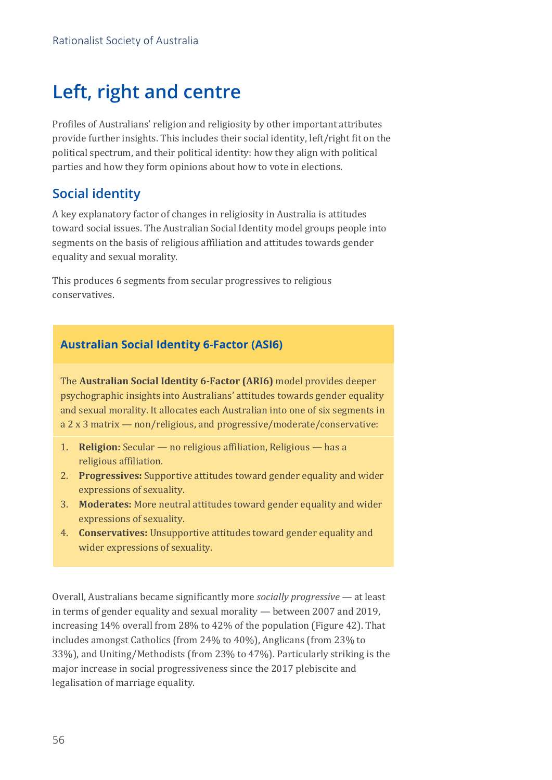# **Left, right and centre**

Profiles of Australians' religion and religiosity by other important attributes provide further insights. This includes their social identity, left/right fit on the political spectrum, and their political identity: how they align with political parties and how they form opinions about how to vote in elections.

# **Social identity**

A key explanatory factor of changes in religiosity in Australia is attitudes toward social issues. The Australian Social Identity model groups people into segments on the basis of religious affiliation and attitudes towards gender equality and sexual morality.

This produces 6 segments from secular progressives to religious conservatives.

### **Australian Social Identity 6-Factor (ASI6)**

The **Australian Social Identity 6-Factor (ARI6)** model provides deeper psychographic insights into Australians' attitudes towards gender equality and sexual morality. It allocates each Australian into one of six segments in a 2 x 3 matrix — non/religious, and progressive/moderate/conservative:

- 1. **Religion:** Secular no religious affiliation, Religious has a religious affiliation.
- 2. **Progressives:** Supportive attitudes toward gender equality and wider expressions of sexuality.
- 3. **Moderates:** More neutral attitudes toward gender equality and wider expressions of sexuality.
- 4. **Conservatives:** Unsupportive attitudes toward gender equality and wider expressions of sexuality.

Overall, Australians became significantly more *socially progressive* — at least in terms of gender equality and sexual morality — between 2007 and 2019, increasing 14% overall from 28% to 42% of the population (Figure 42). That includes amongst Catholics (from 24% to 40%), Anglicans (from 23% to 33%), and Uniting/Methodists (from 23% to 47%). Particularly striking is the major increase in social progressiveness since the 2017 plebiscite and legalisation of marriage equality.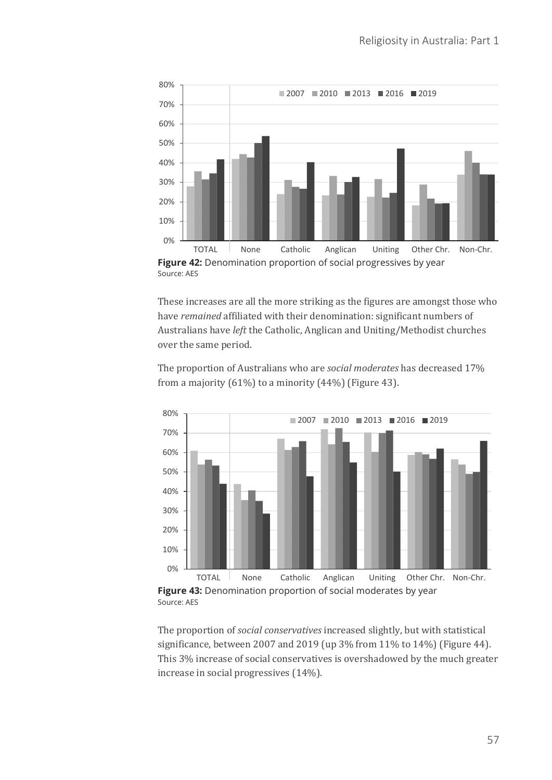

These increases are all the more striking as the figures are amongst those who have *remained* affiliated with their denomination: significant numbers of Australians have *left* the Catholic, Anglican and Uniting/Methodist churches over the same period.

The proportion of Australians who are *social moderates* has decreased 17% from a majority (61%) to a minority (44%) (Figure 43).



**Figure 43:** Denomination proportion of social moderates by year Source: AES

The proportion of *social conservatives* increased slightly, but with statistical significance, between 2007 and 2019 (up 3% from 11% to 14%) (Figure 44). This 3% increase of social conservatives is overshadowed by the much greater increase in social progressives (14%).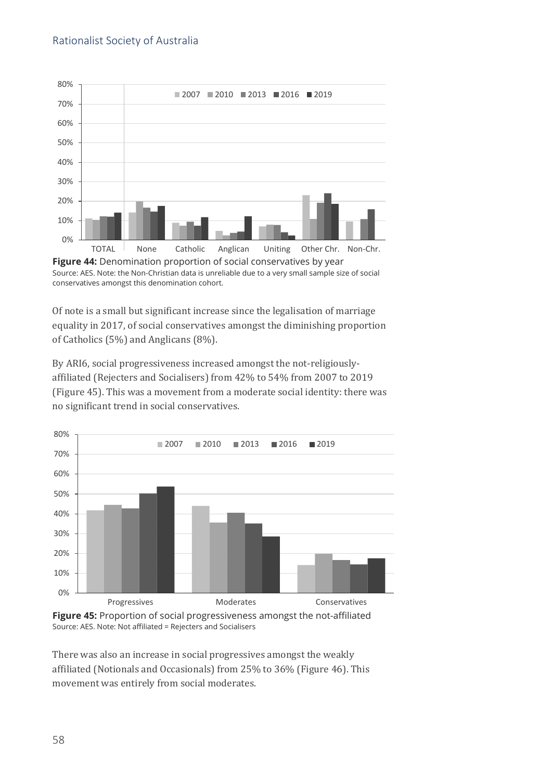

**Figure 44:** Denomination proportion of social conservatives by year Source: AES. Note: the Non-Christian data is unreliable due to a very small sample size of social conservatives amongst this denomination cohort.

Of note is a small but significant increase since the legalisation of marriage equality in 2017, of social conservatives amongst the diminishing proportion of Catholics (5%) and Anglicans (8%).

By ARI6, social progressiveness increased amongst the not-religiouslyaffiliated (Rejecters and Socialisers) from 42% to 54% from 2007 to 2019 (Figure 45). This was a movement from a moderate social identity: there was no significant trend in social conservatives.



Source: AES. Note: Not affiliated = Rejecters and Socialisers

There was also an increase in social progressives amongst the weakly affiliated (Notionals and Occasionals) from 25% to 36% (Figure 46). This movement was entirely from social moderates.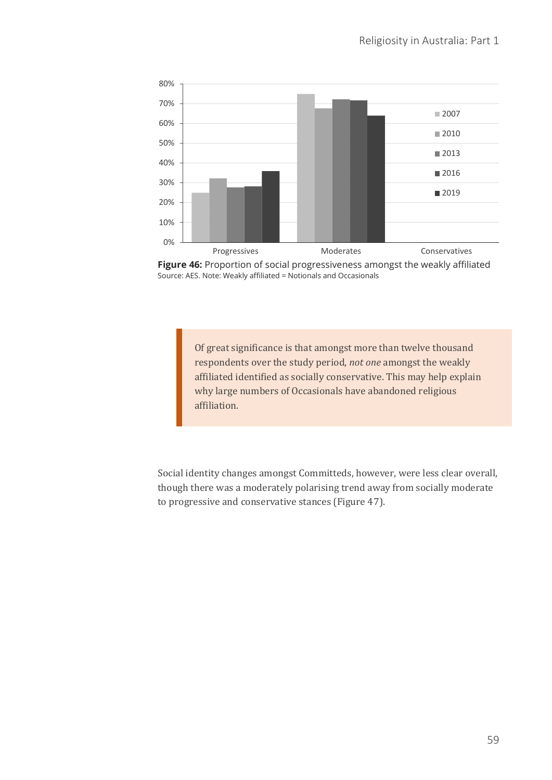



Of great significance is that amongst more than twelve thousand respondents over the study period, *not one* amongst the weakly affiliated identified as socially conservative. This may help explain why large numbers of Occasionals have abandoned religious affiliation.

Social identity changes amongst Committeds, however, were less clear overall, though there was a moderately polarising trend away from socially moderate to progressive and conservative stances (Figure 47).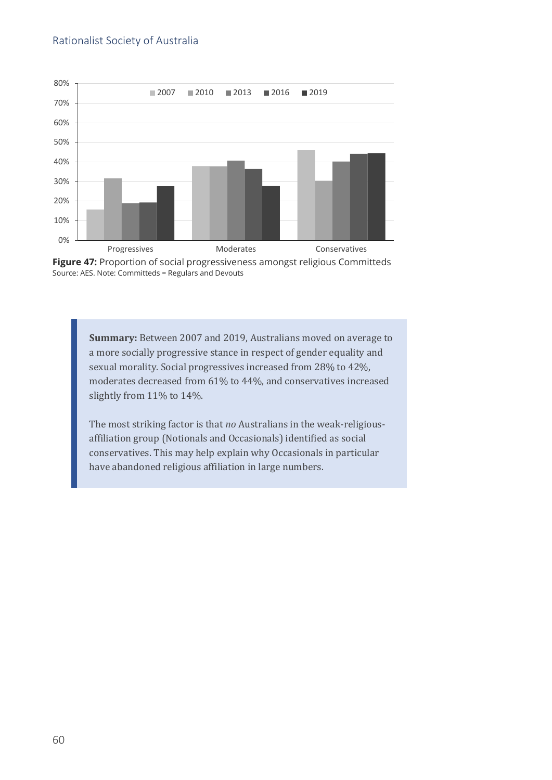



**Summary:** Between 2007 and 2019, Australians moved on average to a more socially progressive stance in respect of gender equality and sexual morality. Social progressives increased from 28% to 42%, moderates decreased from 61% to 44%, and conservatives increased slightly from 11% to 14%.

The most striking factor is that *no* Australians in the weak-religiousaffiliation group (Notionals and Occasionals) identified as social conservatives. This may help explain why Occasionals in particular have abandoned religious affiliation in large numbers.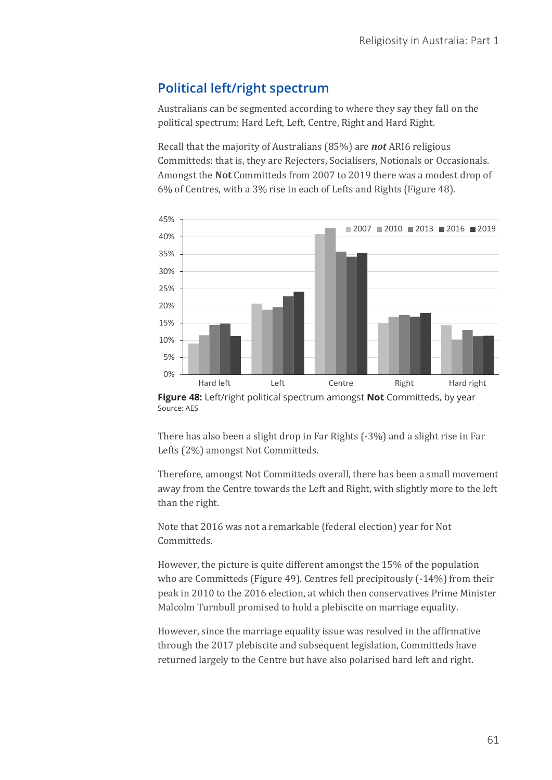# **Political left/right spectrum**

Australians can be segmented according to where they say they fall on the political spectrum: Hard Left, Left, Centre, Right and Hard Right.

Recall that the majority of Australians (85%) are *not* ARI6 religious Committeds: that is, they are Rejecters, Socialisers, Notionals or Occasionals. Amongst the **Not** Committeds from 2007 to 2019 there was a modest drop of 6% of Centres, with a 3% rise in each of Lefts and Rights (Figure 48).



**Figure 48:** Left/right political spectrum amongst **Not** Committeds, by year Source: AES

There has also been a slight drop in Far Rights (-3%) and a slight rise in Far Lefts (2%) amongst Not Committeds.

Therefore, amongst Not Committeds overall, there has been a small movement away from the Centre towards the Left and Right, with slightly more to the left than the right.

Note that 2016 was not a remarkable (federal election) year for Not Committeds.

However, the picture is quite different amongst the 15% of the population who are Committeds (Figure 49). Centres fell precipitously  $(-14%)$  from their peak in 2010 to the 2016 election, at which then conservatives Prime Minister Malcolm Turnbull promised to hold a plebiscite on marriage equality.

However, since the marriage equality issue was resolved in the affirmative through the 2017 plebiscite and subsequent legislation, Committeds have returned largely to the Centre but have also polarised hard left and right.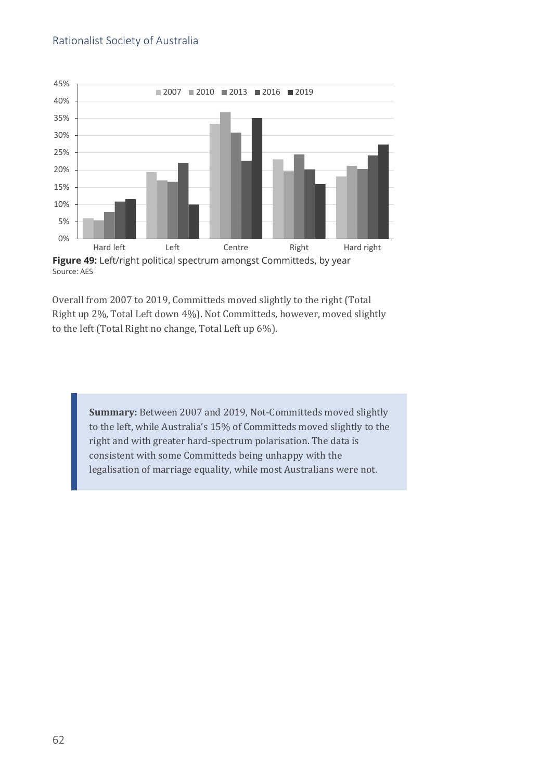

Overall from 2007 to 2019, Committeds moved slightly to the right (Total Right up 2%, Total Left down 4%). Not Committeds, however, moved slightly to the left (Total Right no change, Total Left up 6%).

> **Summary:** Between 2007 and 2019, Not-Committeds moved slightly to the left, while Australia's 15% of Committeds moved slightly to the right and with greater hard-spectrum polarisation. The data is consistent with some Committeds being unhappy with the legalisation of marriage equality, while most Australians were not.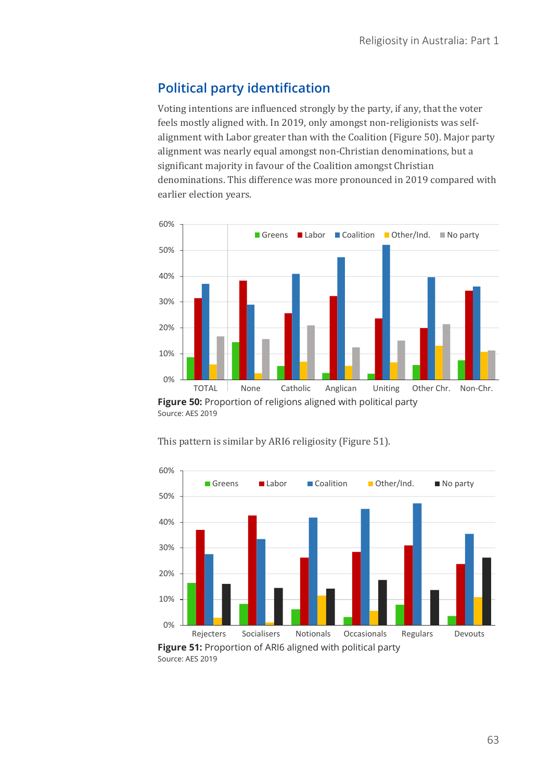# **Political party identification**

Voting intentions are influenced strongly by the party, if any, that the voter feels mostly aligned with. In 2019, only amongst non-religionists was selfalignment with Labor greater than with the Coalition (Figure 50). Major party alignment was nearly equal amongst non-Christian denominations, but a significant majority in favour of the Coalition amongst Christian denominations. This difference was more pronounced in 2019 compared with earlier election years.



**Figure 50:** Proportion of religions aligned with political party Source: AES 2019



This pattern is similar by ARI6 religiosity (Figure 51).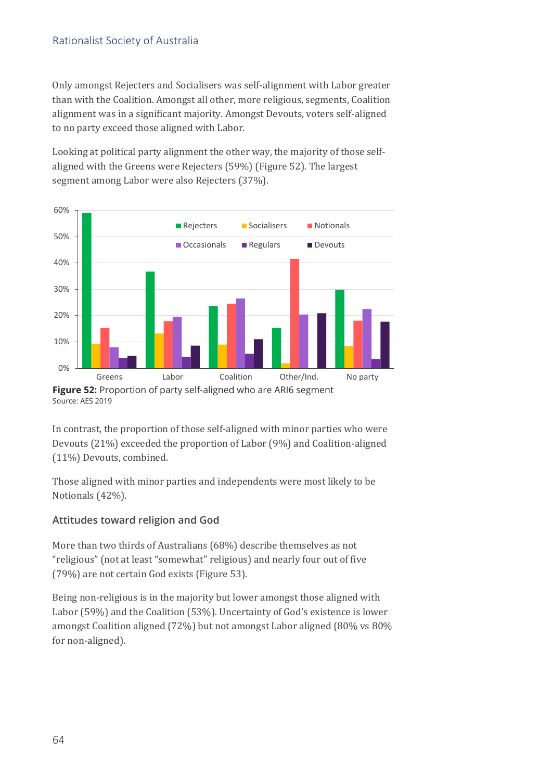Only amongst Rejecters and Socialisers was self-alignment with Labor greater than with the Coalition. Amongst all other, more religious, segments, Coalition alignment was in a significant majority. Amongst Devouts, voters self-aligned to no party exceed those aligned with Labor.

Looking at political party alignment the other way, the majority of those selfaligned with the Greens were Rejecters (59%) (Figure 52). The largest segment among Labor were also Rejecters (37%).



**Figure 52:** Proportion of party self-aligned who are ARI6 segment Source: AES 2019

In contrast, the proportion of those self-aligned with minor parties who were Devouts (21%) exceeded the proportion of Labor (9%) and Coalition-aligned (11%) Devouts, combined.

Those aligned with minor parties and independents were most likely to be Notionals (42%).

### **Attitudes toward religion and God**

More than two thirds of Australians (68%) describe themselves as not "religious" (not at least "somewhat" religious) and nearly four out of five (79%) are not certain God exists (Figure 53).

Being non-religious is in the majority but lower amongst those aligned with Labor (59%) and the Coalition (53%). Uncertainty of God's existence is lower amongst Coalition aligned (72%) but not amongst Labor aligned (80% vs 80% for non-aligned).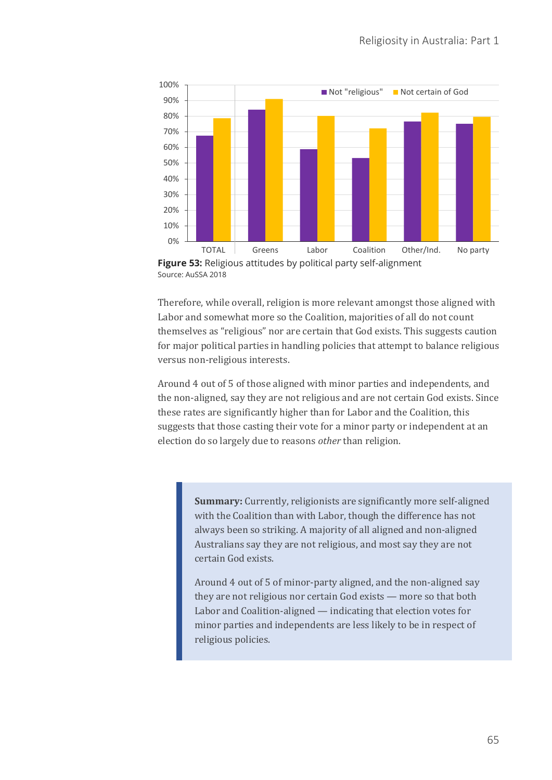

**Figure 53:** Religious attitudes by political party self-alignment Source: AuSSA 2018

Therefore, while overall, religion is more relevant amongst those aligned with Labor and somewhat more so the Coalition, majorities of all do not count themselves as "religious" nor are certain that God exists. This suggests caution for major political parties in handling policies that attempt to balance religious versus non-religious interests.

Around 4 out of 5 of those aligned with minor parties and independents, and the non-aligned, say they are not religious and are not certain God exists. Since these rates are significantly higher than for Labor and the Coalition, this suggests that those casting their vote for a minor party or independent at an election do so largely due to reasons *other* than religion.

> **Summary:** Currently, religionists are significantly more self-aligned with the Coalition than with Labor, though the difference has not always been so striking. A majority of all aligned and non-aligned Australians say they are not religious, and most say they are not certain God exists.

Around 4 out of 5 of minor-party aligned, and the non-aligned say they are not religious nor certain God exists — more so that both Labor and Coalition-aligned — indicating that election votes for minor parties and independents are less likely to be in respect of religious policies.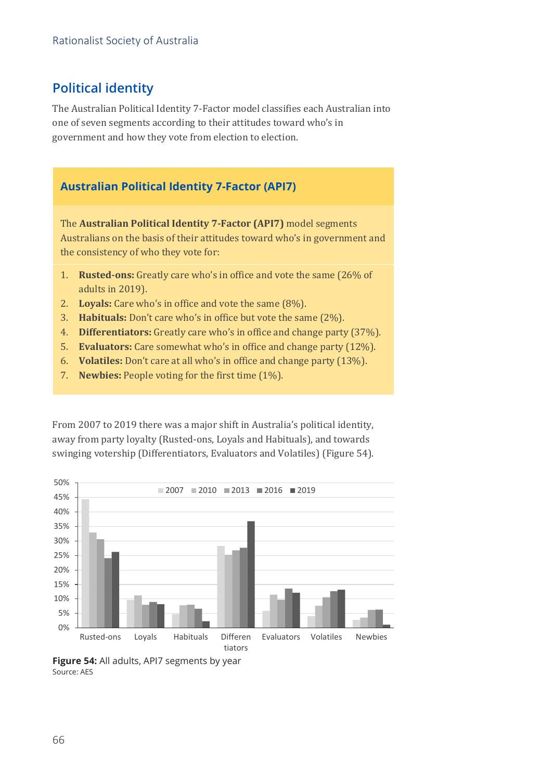# **Political identity**

The Australian Political Identity 7-Factor model classifies each Australian into one of seven segments according to their attitudes toward who's in government and how they vote from election to election.

### **Australian Political Identity 7-Factor (API7)**

The **Australian Political Identity 7-Factor (API7)** model segments Australians on the basis of their attitudes toward who's in government and the consistency of who they vote for:

- 1. **Rusted-ons:** Greatly care who's in office and vote the same (26% of adults in 2019).
- 2. **Loyals:** Care who's in office and vote the same (8%).
- 3. **Habituals:** Don't care who's in office but vote the same (2%).
- 4. **Differentiators:** Greatly care who's in office and change party (37%).
- 5. **Evaluators:** Care somewhat who's in office and change party (12%).
- 6. **Volatiles:** Don't care at all who's in office and change party (13%).
- 7. **Newbies:** People voting for the first time (1%).

From 2007 to 2019 there was a major shift in Australia's political identity, away from party loyalty (Rusted-ons, Loyals and Habituals), and towards swinging votership (Differentiators, Evaluators and Volatiles) (Figure 54).



**Figure 54:** All adults, API7 segments by year Source: AES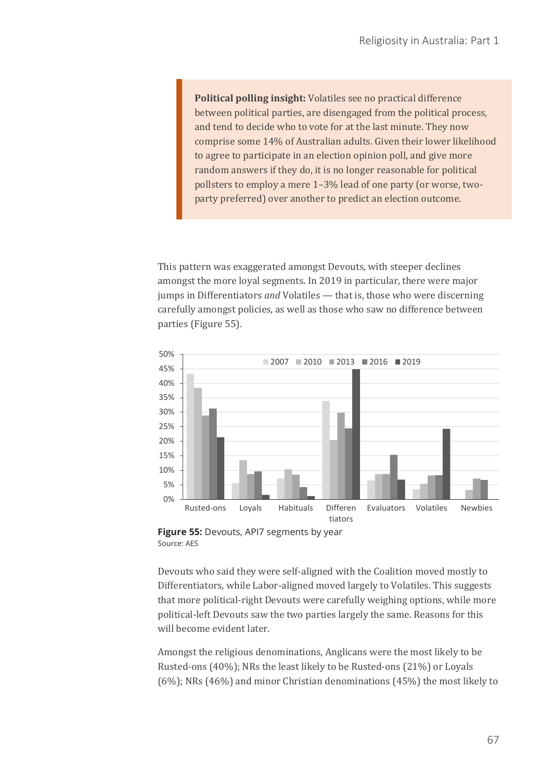**Political polling insight:** Volatiles see no practical difference between political parties, are disengaged from the political process, and tend to decide who to vote for at the last minute. They now comprise some 14% of Australian adults. Given their lower likelihood to agree to participate in an election opinion poll, and give more random answers if they do, it is no longer reasonable for political pollsters to employ a mere 1–3% lead of one party (or worse, twoparty preferred) over another to predict an election outcome.

This pattern was exaggerated amongst Devouts, with steeper declines amongst the more loyal segments. In 2019 in particular, there were major jumps in Differentiators *and* Volatiles — that is, those who were discerning carefully amongst policies, as well as those who saw no difference between parties (Figure 55).





Devouts who said they were self-aligned with the Coalition moved mostly to Differentiators, while Labor-aligned moved largely to Volatiles. This suggests that more political-right Devouts were carefully weighing options, while more political-left Devouts saw the two parties largely the same. Reasons for this will become evident later.

Amongst the religious denominations, Anglicans were the most likely to be Rusted-ons (40%); NRs the least likely to be Rusted-ons (21%) or Loyals (6%); NRs (46%) and minor Christian denominations (45%) the most likely to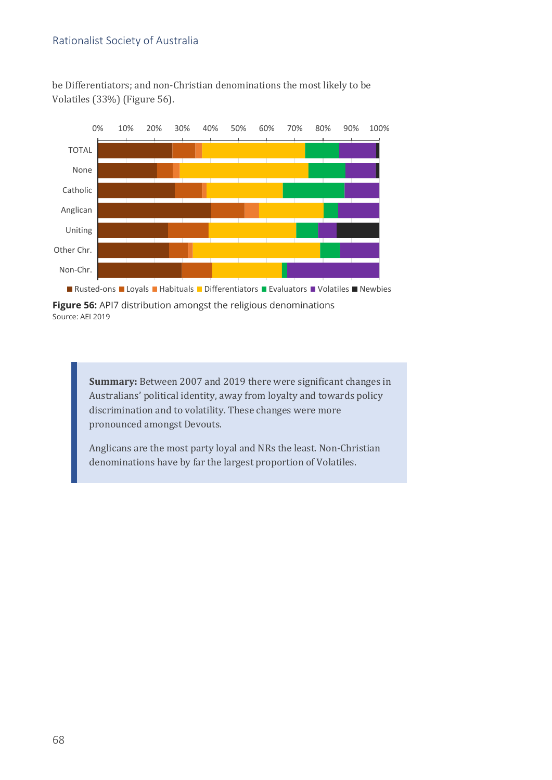#### Rationalist Society of Australia

be Differentiators; and non-Christian denominations the most likely to be Volatiles (33%) (Figure 56).



**■ Rusted-ons ■ Loyals ■ Habituals ■ Differentiators ■ Evaluators ■ Volatiles ■ Newbies** 



**Summary:** Between 2007 and 2019 there were significant changes in Australians' political identity, away from loyalty and towards policy discrimination and to volatility. These changes were more pronounced amongst Devouts.

Anglicans are the most party loyal and NRs the least. Non-Christian denominations have by far the largest proportion of Volatiles.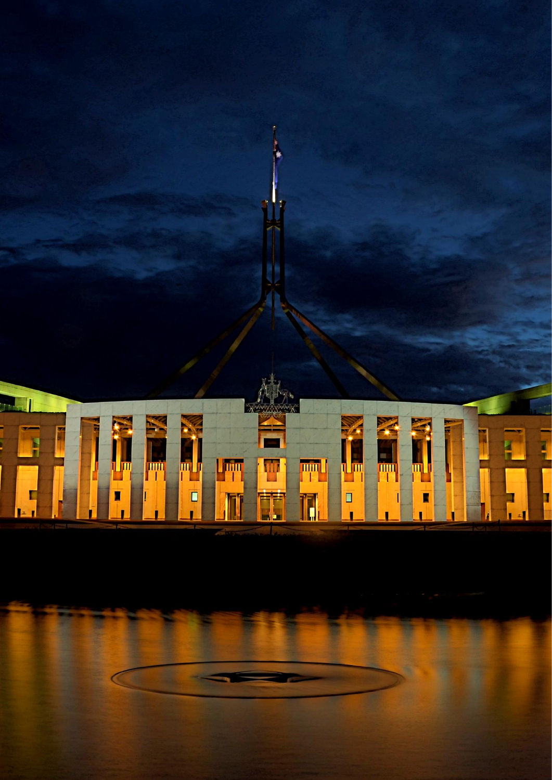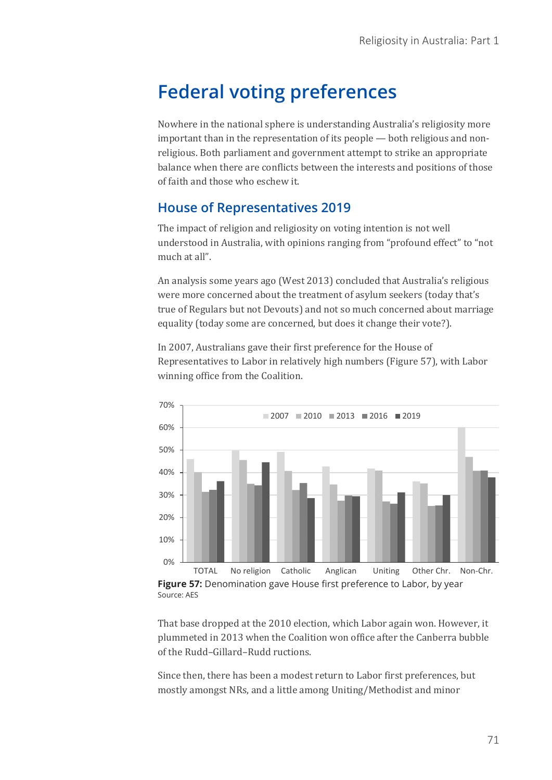# **Federal voting preferences**

Nowhere in the national sphere is understanding Australia's religiosity more important than in the representation of its people — both religious and nonreligious. Both parliament and government attempt to strike an appropriate balance when there are conflicts between the interests and positions of those of faith and those who eschew it.

## **House of Representatives 2019**

The impact of religion and religiosity on voting intention is not well understood in Australia, with opinions ranging from "profound effect" to "not much at all".

An analysis some years ago (West 2013) concluded that Australia's religious were more concerned about the treatment of asylum seekers (today that's true of Regulars but not Devouts) and not so much concerned about marriage equality (today some are concerned, but does it change their vote?).

In 2007, Australians gave their first preference for the House of Representatives to Labor in relatively high numbers (Figure 57), with Labor winning office from the Coalition.



Source: AES

That base dropped at the 2010 election, which Labor again won. However, it plummeted in 2013 when the Coalition won office after the Canberra bubble of the Rudd–Gillard–Rudd ructions.

Since then, there has been a modest return to Labor first preferences, but mostly amongst NRs, and a little among Uniting/Methodist and minor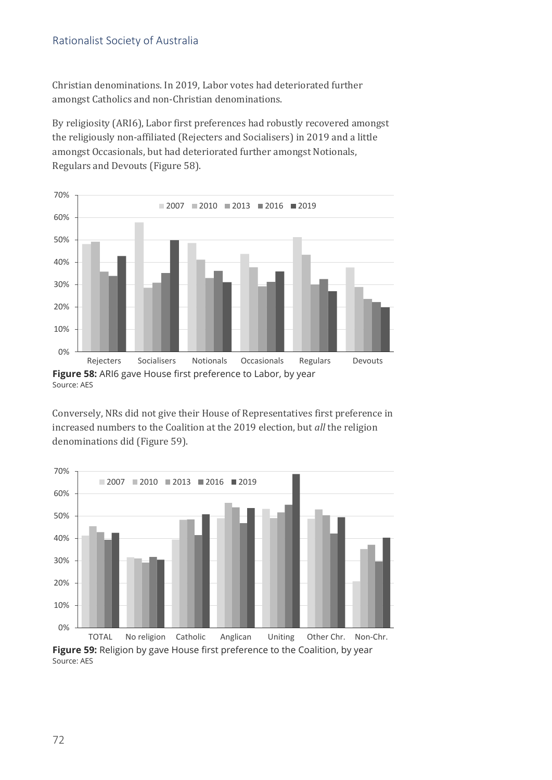Christian denominations. In 2019, Labor votes had deteriorated further amongst Catholics and non-Christian denominations.

By religiosity (ARI6), Labor first preferences had robustly recovered amongst the religiously non-affiliated (Rejecters and Socialisers) in 2019 and a little amongst Occasionals, but had deteriorated further amongst Notionals, Regulars and Devouts (Figure 58).



Conversely, NRs did not give their House of Representatives first preference in increased numbers to the Coalition at the 2019 election, but *all* the religion denominations did (Figure 59).



Source: AES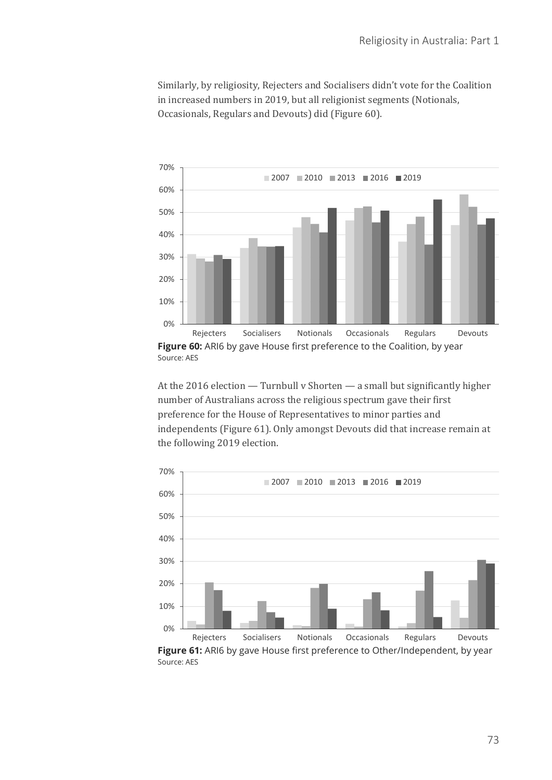Similarly, by religiosity, Rejecters and Socialisers didn't vote for the Coalition in increased numbers in 2019, but all religionist segments (Notionals, Occasionals, Regulars and Devouts) did (Figure 60).



Source: AES

At the 2016 election — Turnbull v Shorten — a small but significantly higher number of Australians across the religious spectrum gave their first preference for the House of Representatives to minor parties and independents (Figure 61). Only amongst Devouts did that increase remain at the following 2019 election.

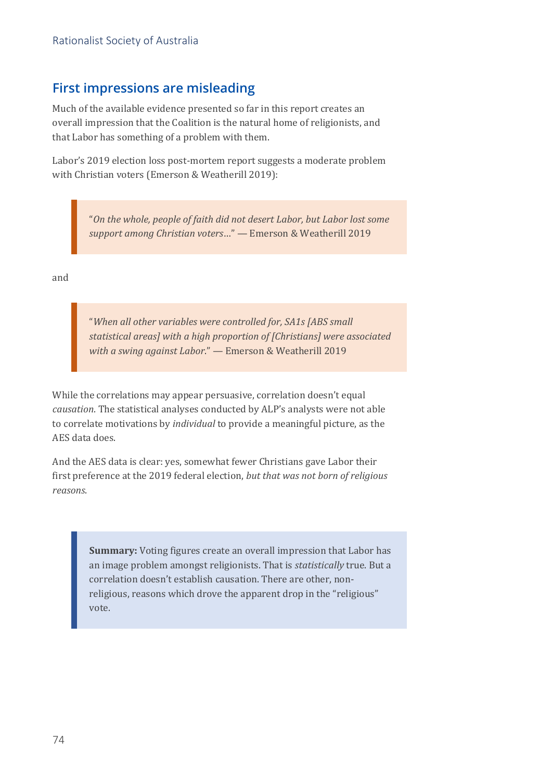## **First impressions are misleading**

Much of the available evidence presented so far in this report creates an overall impression that the Coalition is the natural home of religionists, and that Labor has something of a problem with them.

Labor's 2019 election loss post-mortem report suggests a moderate problem with Christian voters (Emerson & Weatherill 2019):

> "*On the whole, people of faith did not desert Labor, but Labor lost some support among Christian voters*…" — Emerson & Weatherill 2019

and

"*When all other variables were controlled for, SA1s [ABS small statistical areas] with a high proportion of [Christians] were associated with a swing against Labor*." — Emerson & Weatherill 2019

While the correlations may appear persuasive, correlation doesn't equal *causation*. The statistical analyses conducted by ALP's analysts were not able to correlate motivations by *individual* to provide a meaningful picture, as the AES data does.

And the AES data is clear: yes, somewhat fewer Christians gave Labor their first preference at the 2019 federal election, *but that was not born of religious reasons*.

> **Summary:** Voting figures create an overall impression that Labor has an image problem amongst religionists. That is *statistically* true. But a correlation doesn't establish causation. There are other, nonreligious, reasons which drove the apparent drop in the "religious" vote.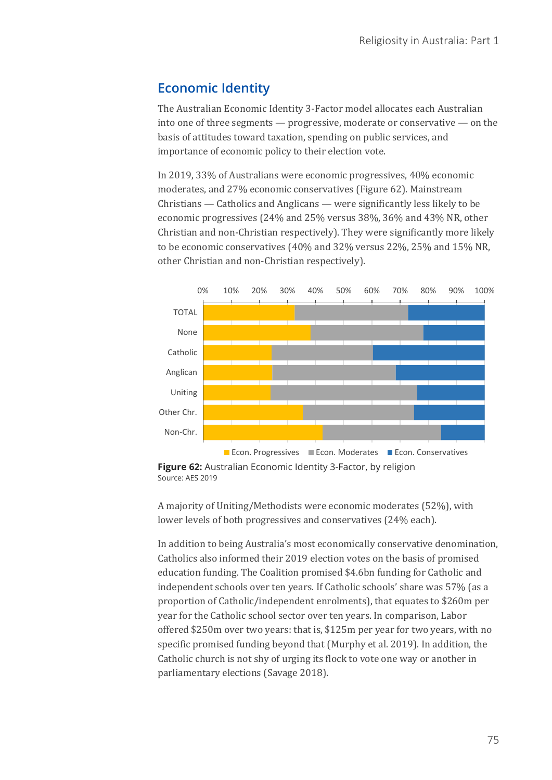# **Economic Identity**

The Australian Economic Identity 3-Factor model allocates each Australian into one of three segments — progressive, moderate or conservative — on the basis of attitudes toward taxation, spending on public services, and importance of economic policy to their election vote.

In 2019, 33% of Australians were economic progressives, 40% economic moderates, and 27% economic conservatives (Figure 62). Mainstream Christians — Catholics and Anglicans — were significantly less likely to be economic progressives (24% and 25% versus 38%, 36% and 43% NR, other Christian and non-Christian respectively). They were significantly more likely to be economic conservatives (40% and 32% versus 22%, 25% and 15% NR, other Christian and non-Christian respectively).



**Figure 62:** Australian Economic Identity 3-Factor, by religion Source: AES 2019

A majority of Uniting/Methodists were economic moderates (52%), with lower levels of both progressives and conservatives (24% each).

In addition to being Australia's most economically conservative denomination, Catholics also informed their 2019 election votes on the basis of promised education funding. The Coalition promised \$4.6bn funding for Catholic and independent schools over ten years. If Catholic schools' share was 57% (as a proportion of Catholic/independent enrolments), that equates to \$260m per year for the Catholic school sector over ten years. In comparison, Labor offered \$250m over two years: that is, \$125m per year for two years, with no specific promised funding beyond that (Murphy et al. 2019). In addition, the Catholic church is not shy of urging its flock to vote one way or another in parliamentary elections (Savage 2018).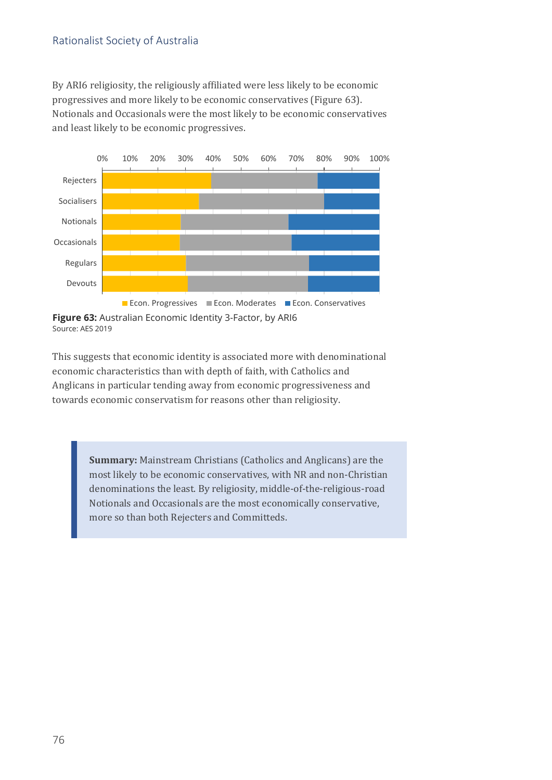By ARI6 religiosity, the religiously affiliated were less likely to be economic progressives and more likely to be economic conservatives (Figure 63). Notionals and Occasionals were the most likely to be economic conservatives and least likely to be economic progressives.



Source: AES 2019

This suggests that economic identity is associated more with denominational economic characteristics than with depth of faith, with Catholics and Anglicans in particular tending away from economic progressiveness and towards economic conservatism for reasons other than religiosity.

> **Summary:** Mainstream Christians (Catholics and Anglicans) are the most likely to be economic conservatives, with NR and non-Christian denominations the least. By religiosity, middle-of-the-religious-road Notionals and Occasionals are the most economically conservative, more so than both Rejecters and Committeds.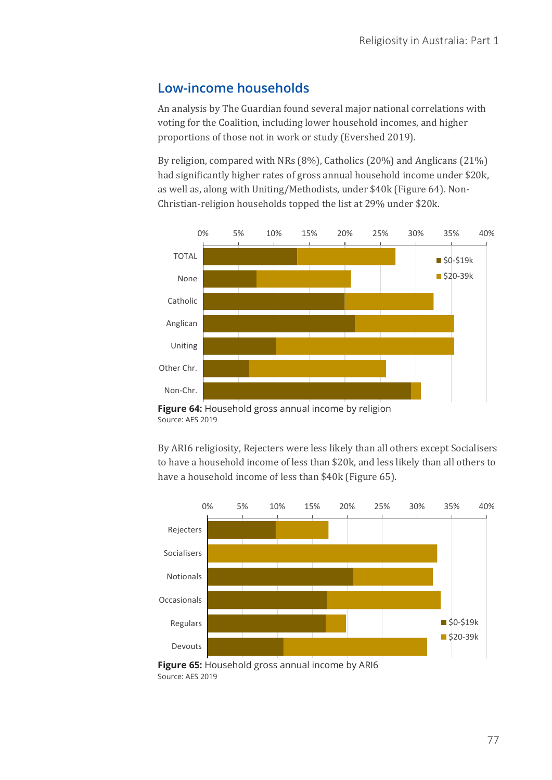# **Low-income households**

An analysis by The Guardian found several major national correlations with voting for the Coalition, including lower household incomes, and higher proportions of those not in work or study (Evershed 2019).

By religion, compared with NRs (8%), Catholics (20%) and Anglicans (21%) had significantly higher rates of gross annual household income under \$20k, as well as, along with Uniting/Methodists, under \$40k (Figure 64). Non-Christian-religion households topped the list at 29% under \$20k.



**Figure 64:** Household gross annual income by religion Source: AES 2019

By ARI6 religiosity, Rejecters were less likely than all others except Socialisers to have a household income of less than \$20k, and less likely than all others to have a household income of less than \$40k (Figure 65).



**Figure 65:** Household gross annual income by ARI6 Source: AES 2019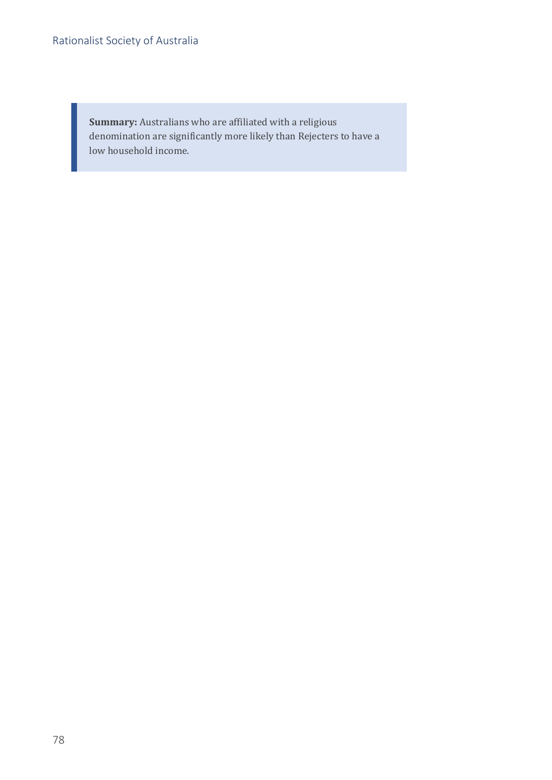**Summary:** Australians who are affiliated with a religious denomination are significantly more likely than Rejecters to have a low household income.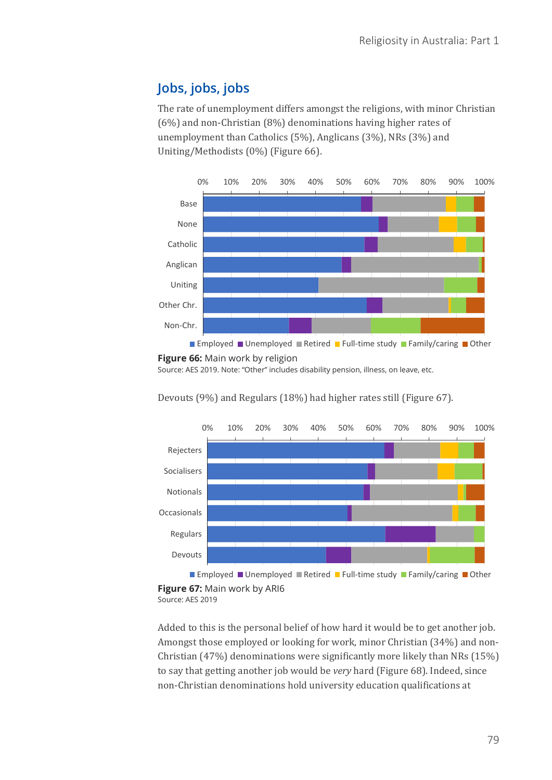# **Jobs, jobs, jobs**

The rate of unemployment differs amongst the religions, with minor Christian (6%) and non-Christian (8%) denominations having higher rates of unemployment than Catholics (5%), Anglicans (3%), NRs (3%) and Uniting/Methodists (0%) (Figure 66).



**Figure 66:** Main work by religion

Source: AES 2019. Note: "Other" includes disability pension, illness, on leave, etc.



Devouts (9%) and Regulars (18%) had higher rates still (Figure 67).

Added to this is the personal belief of how hard it would be to get another job. Amongst those employed or looking for work, minor Christian (34%) and non-Christian (47%) denominations were significantly more likely than NRs (15%) to say that getting another job would be *very* hard (Figure 68). Indeed, since non-Christian denominations hold university education qualifications at

**Figure 67: Main work by ARI6** Source: AES 2019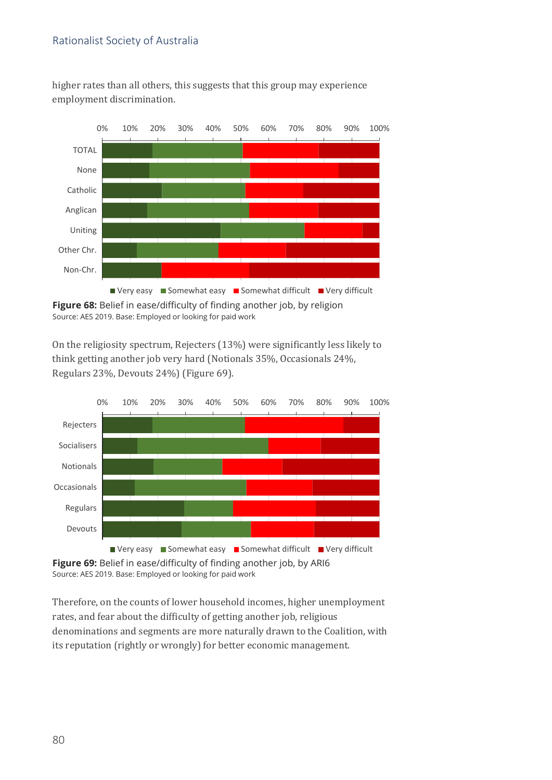### Rationalist Society of Australia

higher rates than all others, this suggests that this group may experience employment discrimination.





On the religiosity spectrum, Rejecters (13%) were significantly less likely to think getting another job very hard (Notionals 35%, Occasionals 24%, Regulars 23%, Devouts 24%) (Figure 69).





Therefore, on the counts of lower household incomes, higher unemployment rates, and fear about the difficulty of getting another job, religious denominations and segments are more naturally drawn to the Coalition, with its reputation (rightly or wrongly) for better economic management.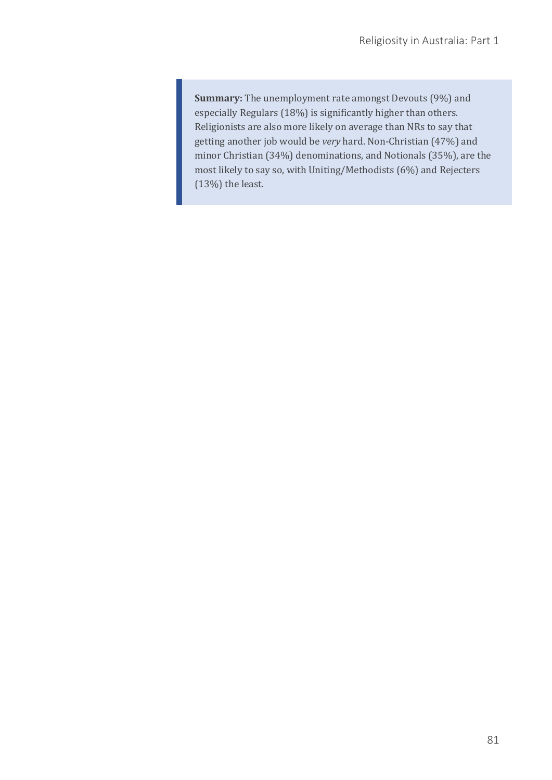**Summary:** The unemployment rate amongst Devouts (9%) and especially Regulars (18%) is significantly higher than others. Religionists are also more likely on average than NRs to say that getting another job would be *very* hard. Non-Christian (47%) and minor Christian (34%) denominations, and Notionals (35%), are the most likely to say so, with Uniting/Methodists (6%) and Rejecters (13%) the least.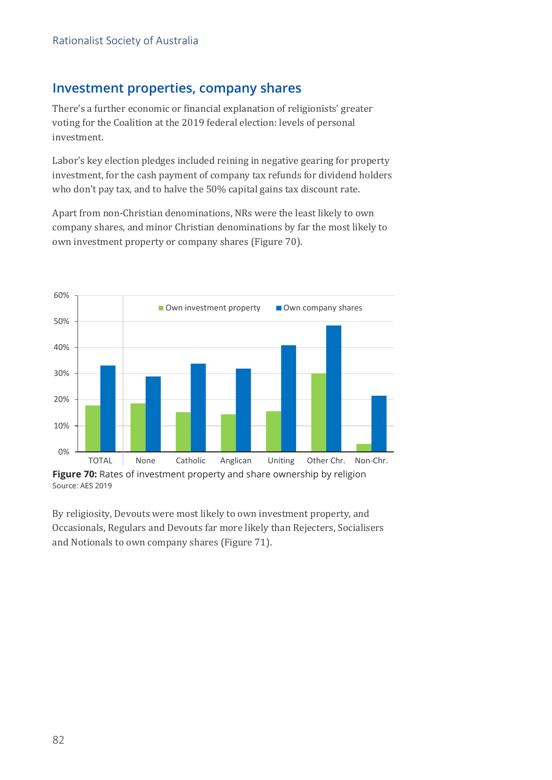## **Investment properties, company shares**

There's a further economic or financial explanation of religionists' greater voting for the Coalition at the 2019 federal election: levels of personal investment.

Labor's key election pledges included reining in negative gearing for property investment, for the cash payment of company tax refunds for dividend holders who don't pay tax, and to halve the 50% capital gains tax discount rate.

Apart from non-Christian denominations, NRs were the least likely to own company shares, and minor Christian denominations by far the most likely to own investment property or company shares (Figure 70).



**Figure 70:** Rates of investment property and share ownership by religion Source: AES 2019

By religiosity, Devouts were most likely to own investment property, and Occasionals, Regulars and Devouts far more likely than Rejecters, Socialisers and Notionals to own company shares (Figure 71).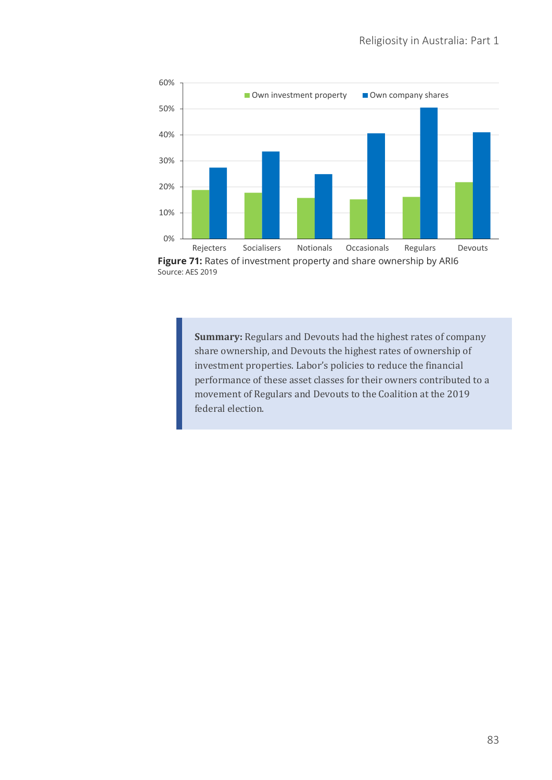

Source: AES 2019

**Summary:** Regulars and Devouts had the highest rates of company share ownership, and Devouts the highest rates of ownership of investment properties. Labor's policies to reduce the financial performance of these asset classes for their owners contributed to a movement of Regulars and Devouts to the Coalition at the 2019 federal election.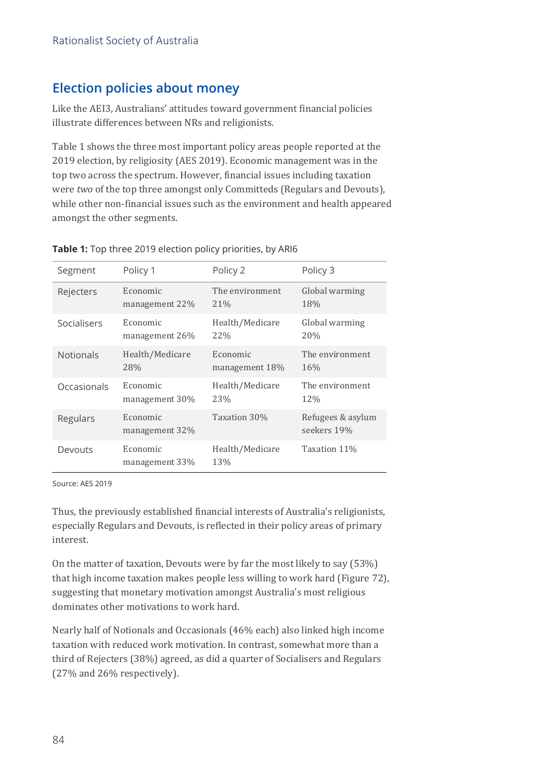# **Election policies about money**

Like the AEI3, Australians' attitudes toward government financial policies illustrate differences between NRs and religionists.

Table 1 shows the three most important policy areas people reported at the 2019 election, by religiosity (AES 2019). Economic management was in the top two across the spectrum. However, financial issues including taxation were *two* of the top three amongst only Committeds (Regulars and Devouts), while other non-financial issues such as the environment and health appeared amongst the other segments.

| Segment          | Policy 1                   | Policy 2               | Policy 3                         |
|------------------|----------------------------|------------------------|----------------------------------|
| Rejecters        | Economic                   | The environment        | Global warming                   |
|                  | management 22%             | 21%                    | 18%                              |
| Socialisers      | Economic                   | Health/Medicare        | Global warming                   |
|                  | management 26%             | 22%                    | 20%                              |
| <b>Notionals</b> | Health/Medicare            | Economic               | The environment                  |
|                  | 28%                        | management 18%         | 16%                              |
| Occasionals      | Economic                   | Health/Medicare        | The environment                  |
|                  | management 30%             | 23%                    | 12%                              |
| Regulars         | Economic<br>management 32% | Taxation 30%           | Refugees & asylum<br>seekers 19% |
| Devouts          | Economic<br>management 33% | Health/Medicare<br>13% | Taxation 11%                     |

**Table 1:** Top three 2019 election policy priorities, by ARI6

Source: AES 2019

Thus, the previously established financial interests of Australia's religionists, especially Regulars and Devouts, is reflected in their policy areas of primary interest.

On the matter of taxation, Devouts were by far the most likely to say (53%) that high income taxation makes people less willing to work hard (Figure 72), suggesting that monetary motivation amongst Australia's most religious dominates other motivations to work hard.

Nearly half of Notionals and Occasionals (46% each) also linked high income taxation with reduced work motivation. In contrast, somewhat more than a third of Rejecters (38%) agreed, as did a quarter of Socialisers and Regulars (27% and 26% respectively).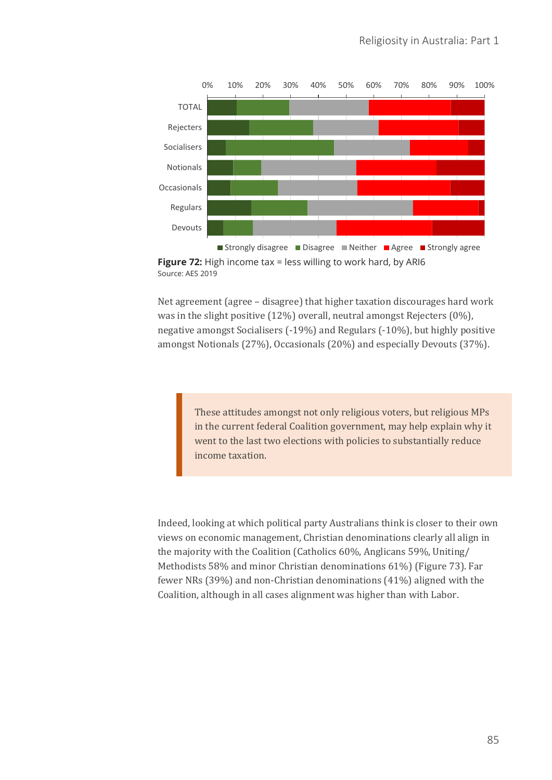

**Figure 72:** High income tax = less willing to work hard, by ARI6 Source: AES 2019

Net agreement (agree – disagree) that higher taxation discourages hard work was in the slight positive (12%) overall, neutral amongst Rejecters (0%), negative amongst Socialisers (-19%) and Regulars (-10%), but highly positive amongst Notionals (27%), Occasionals (20%) and especially Devouts (37%).

> These attitudes amongst not only religious voters, but religious MPs in the current federal Coalition government, may help explain why it went to the last two elections with policies to substantially reduce income taxation.

Indeed, looking at which political party Australians think is closer to their own views on economic management, Christian denominations clearly all align in the majority with the Coalition (Catholics 60%, Anglicans 59%, Uniting/ Methodists 58% and minor Christian denominations 61%) (Figure 73). Far fewer NRs (39%) and non-Christian denominations (41%) aligned with the Coalition, although in all cases alignment was higher than with Labor.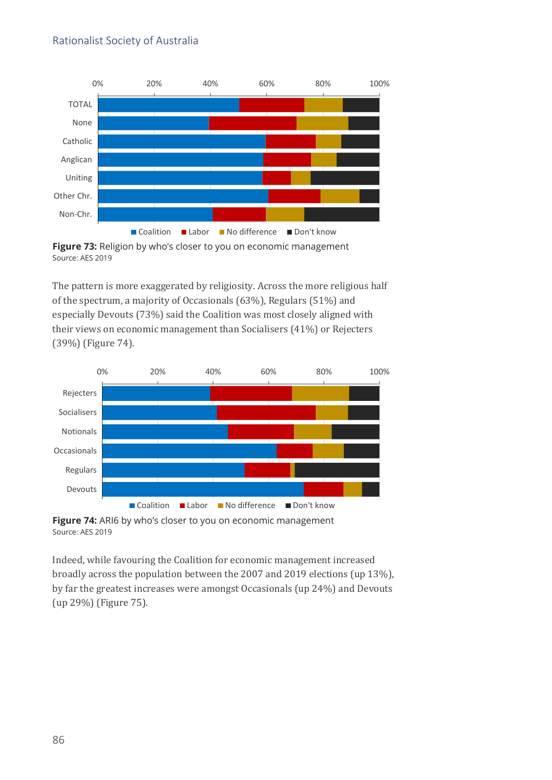### Rationalist Society of Australia





The pattern is more exaggerated by religiosity. Across the more religious half of the spectrum, a majority of Occasionals (63%), Regulars (51%) and especially Devouts (73%) said the Coalition was most closely aligned with their views on economic management than Socialisers (41%) or Rejecters (39%) (Figure 74).



**Figure 74:** ARI6 by who's closer to you on economic management Source: AES 2019

Indeed, while favouring the Coalition for economic management increased broadly across the population between the 2007 and 2019 elections (up 13%), by far the greatest increases were amongst Occasionals (up 24%) and Devouts (up 29%) (Figure 75).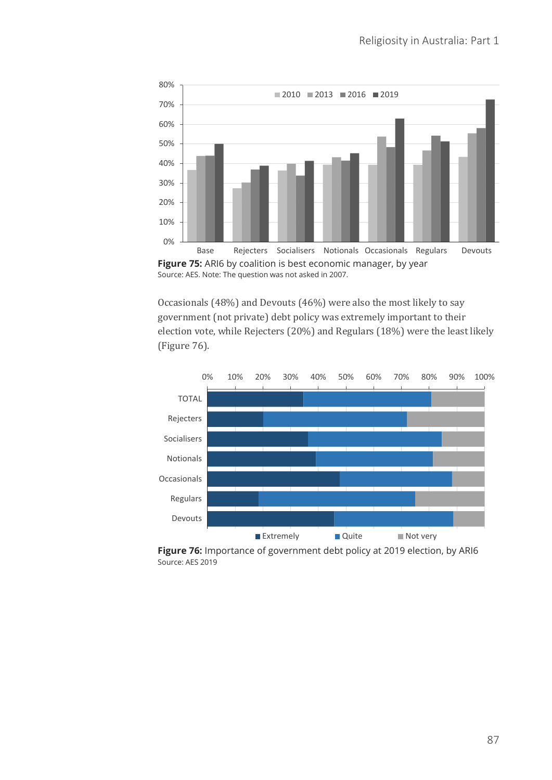

Source: AES. Note: The question was not asked in 2007.

Occasionals (48%) and Devouts (46%) were also the most likely to say government (not private) debt policy was extremely important to their election vote, while Rejecters (20%) and Regulars (18%) were the least likely (Figure 76).



**Figure 76:** Importance of government debt policy at 2019 election, by ARI6 Source: AES 2019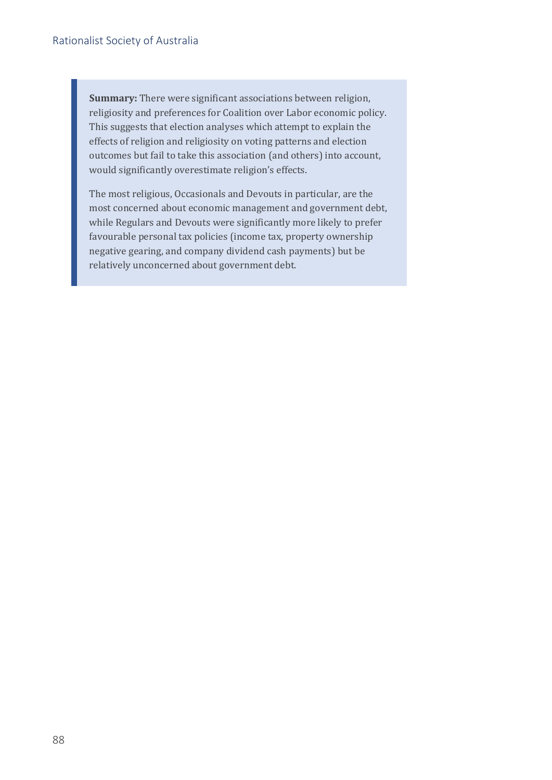**Summary:** There were significant associations between religion, religiosity and preferences for Coalition over Labor economic policy. This suggests that election analyses which attempt to explain the effects of religion and religiosity on voting patterns and election outcomes but fail to take this association (and others) into account, would significantly overestimate religion's effects.

The most religious, Occasionals and Devouts in particular, are the most concerned about economic management and government debt, while Regulars and Devouts were significantly more likely to prefer favourable personal tax policies (income tax, property ownership negative gearing, and company dividend cash payments) but be relatively unconcerned about government debt.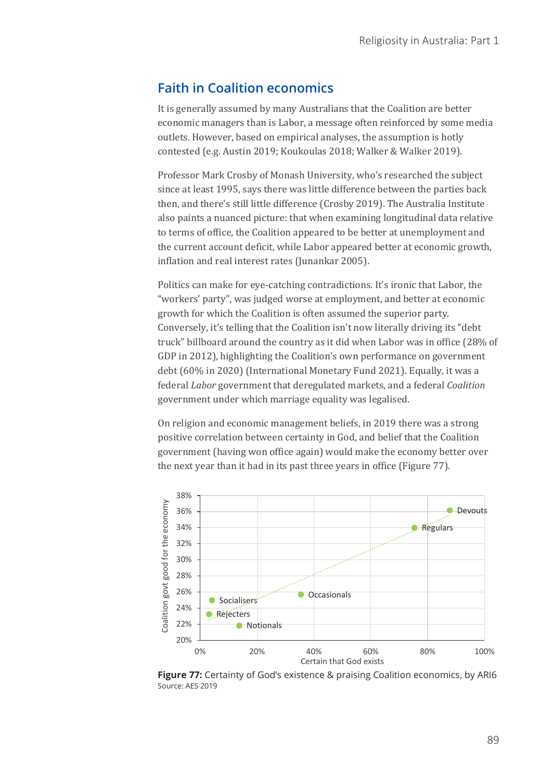# **Faith in Coalition economics**

It is generally assumed by many Australians that the Coalition are better economic managers than is Labor, a message often reinforced by some media outlets. However, based on empirical analyses, the assumption is hotly contested (e.g. Austin 2019; Koukoulas 2018; Walker & Walker 2019).

Professor Mark Crosby of Monash University, who's researched the subject since at least 1995, says there was little difference between the parties back then, and there's still little difference (Crosby 2019). The Australia Institute also paints a nuanced picture: that when examining longitudinal data relative to terms of office, the Coalition appeared to be better at unemployment and the current account deficit, while Labor appeared better at economic growth, inflation and real interest rates (Junankar 2005).

Politics can make for eye-catching contradictions. It's ironic that Labor, the "workers' party", was judged worse at employment, and better at economic growth for which the Coalition is often assumed the superior party. Conversely, it's telling that the Coalition isn't now literally driving its "debt truck" billboard around the country as it did when Labor was in office (28% of GDP in 2012), highlighting the Coalition's own performance on government debt (60% in 2020) (International Monetary Fund 2021). Equally, it was a federal *Labor* government that deregulated markets, and a federal *Coalition* government under which marriage equality was legalised.

On religion and economic management beliefs, in 2019 there was a strong positive correlation between certainty in God, and belief that the Coalition government (having won office again) would make the economy better over the next year than it had in its past three years in office (Figure 77).



**Figure 77:** Certainty of God's existence & praising Coalition economics, by ARI6 Source: AES 2019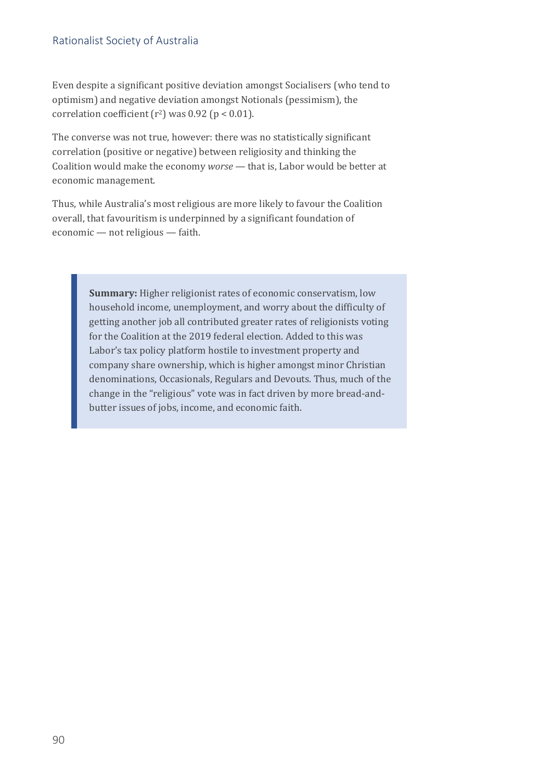Even despite a significant positive deviation amongst Socialisers (who tend to optimism) and negative deviation amongst Notionals (pessimism), the correlation coefficient  $(r^2)$  was 0.92  $(p < 0.01)$ .

The converse was not true, however: there was no statistically significant correlation (positive or negative) between religiosity and thinking the Coalition would make the economy *worse* — that is, Labor would be better at economic management.

Thus, while Australia's most religious are more likely to favour the Coalition overall, that favouritism is underpinned by a significant foundation of economic — not religious — faith.

> **Summary:** Higher religionist rates of economic conservatism, low household income, unemployment, and worry about the difficulty of getting another job all contributed greater rates of religionists voting for the Coalition at the 2019 federal election. Added to this was Labor's tax policy platform hostile to investment property and company share ownership, which is higher amongst minor Christian denominations, Occasionals, Regulars and Devouts. Thus, much of the change in the "religious" vote was in fact driven by more bread-andbutter issues of jobs, income, and economic faith.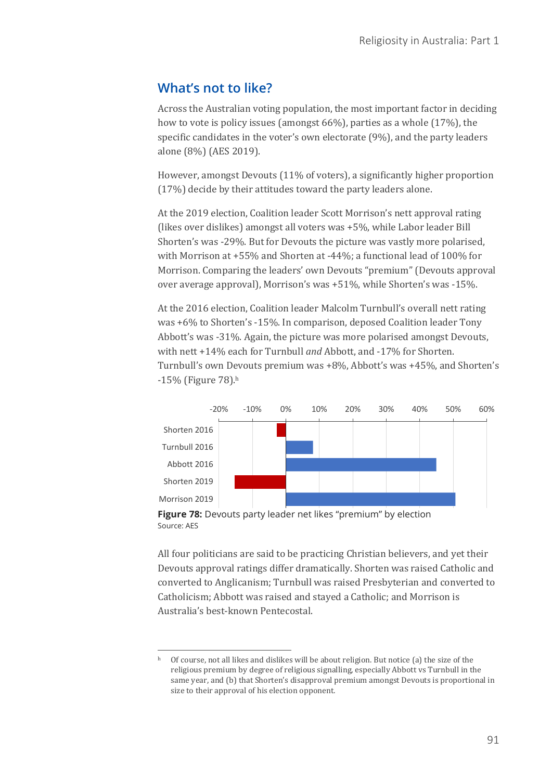### **What's not to like?**

Across the Australian voting population, the most important factor in deciding how to vote is policy issues (amongst 66%), parties as a whole (17%), the specific candidates in the voter's own electorate (9%), and the party leaders alone (8%) (AES 2019).

However, amongst Devouts (11% of voters), a significantly higher proportion (17%) decide by their attitudes toward the party leaders alone.

At the 2019 election, Coalition leader Scott Morrison's nett approval rating (likes over dislikes) amongst all voters was +5%, while Labor leader Bill Shorten's was -29%. But for Devouts the picture was vastly more polarised, with Morrison at +55% and Shorten at -44%; a functional lead of 100% for Morrison. Comparing the leaders' own Devouts "premium" (Devouts approval over average approval), Morrison's was +51%, while Shorten's was -15%.

At the 2016 election, Coalition leader Malcolm Turnbull's overall nett rating was +6% to Shorten's -15%. In comparison, deposed Coalition leader Tony Abbott's was -31%. Again, the picture was more polarised amongst Devouts, with nett +14% each for Turnbull *and* Abbott, and -17% for Shorten. Turnbull's own Devouts premium was +8%, Abbott's was +45%, and Shorten's -15% (Figure 78).<sup>h</sup>



**Figure 78:** Devouts party leader net likes "premium" by election Source: AES

All four politicians are said to be practicing Christian believers, and yet their Devouts approval ratings differ dramatically. Shorten was raised Catholic and converted to Anglicanism; Turnbull was raised Presbyterian and converted to Catholicism; Abbott was raised and stayed a Catholic; and Morrison is Australia's best-known Pentecostal.

h Of course, not all likes and dislikes will be about religion. But notice (a) the size of the religious premium by degree of religious signalling, especially Abbott vs Turnbull in the same year, and (b) that Shorten's disapproval premium amongst Devouts is proportional in size to their approval of his election opponent.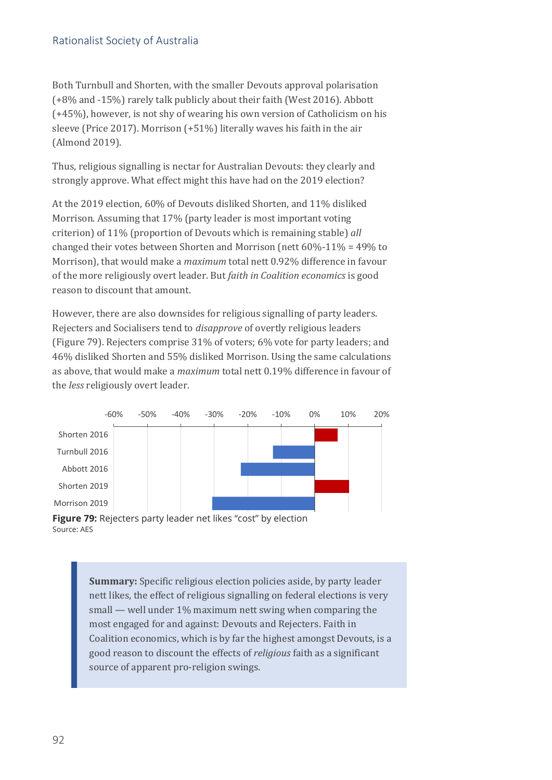Both Turnbull and Shorten, with the smaller Devouts approval polarisation (+8% and -15%) rarely talk publicly about their faith (West 2016). Abbott (+45%), however, is not shy of wearing his own version of Catholicism on his sleeve (Price 2017). Morrison (+51%) literally waves his faith in the air (Almond 2019).

Thus, religious signalling is nectar for Australian Devouts: they clearly and strongly approve. What effect might this have had on the 2019 election?

At the 2019 election, 60% of Devouts disliked Shorten, and 11% disliked Morrison. Assuming that 17% (party leader is most important voting criterion) of 11% (proportion of Devouts which is remaining stable) *all* changed their votes between Shorten and Morrison (nett 60%-11% = 49% to Morrison), that would make a *maximum* total nett 0.92% difference in favour of the more religiously overt leader. But *faith in Coalition economics* is good reason to discount that amount.

However, there are also downsides for religious signalling of party leaders. Rejecters and Socialisers tend to *disapprove* of overtly religious leaders (Figure 79). Rejecters comprise 31% of voters; 6% vote for party leaders; and 46% disliked Shorten and 55% disliked Morrison. Using the same calculations as above, that would make a *maximum* total nett 0.19% difference in favour of the *less* religiously overt leader.





**Summary:** Specific religious election policies aside, by party leader nett likes, the effect of religious signalling on federal elections is very small — well under 1% maximum nett swing when comparing the most engaged for and against: Devouts and Rejecters. Faith in Coalition economics, which is by far the highest amongst Devouts, is a good reason to discount the effects of *religious* faith as a significant source of apparent pro-religion swings.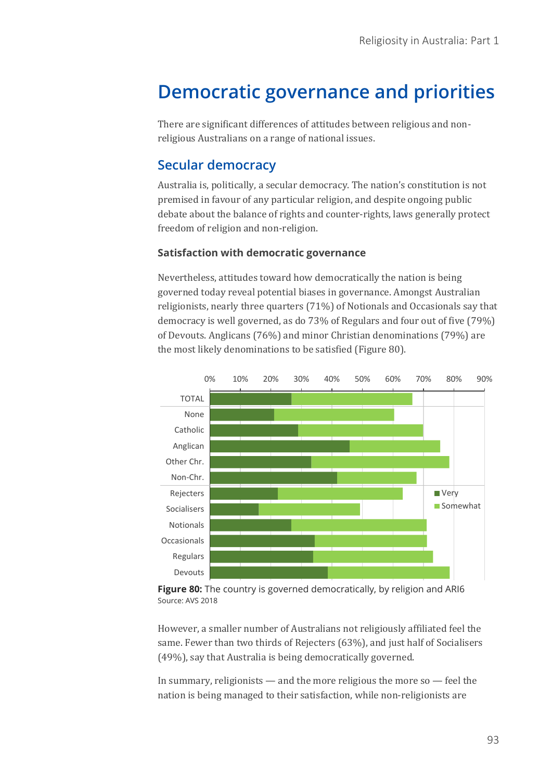# **Democratic governance and priorities**

There are significant differences of attitudes between religious and nonreligious Australians on a range of national issues.

### **Secular democracy**

Australia is, politically, a secular democracy. The nation's constitution is not premised in favour of any particular religion, and despite ongoing public debate about the balance of rights and counter-rights, laws generally protect freedom of religion and non-religion.

#### **Satisfaction with democratic governance**

Nevertheless, attitudes toward how democratically the nation is being governed today reveal potential biases in governance. Amongst Australian religionists, nearly three quarters (71%) of Notionals and Occasionals say that democracy is well governed, as do 73% of Regulars and four out of five (79%) of Devouts. Anglicans (76%) and minor Christian denominations (79%) are the most likely denominations to be satisfied (Figure 80).



**Figure 80:** The country is governed democratically, by religion and ARI6 Source: AVS 2018

However, a smaller number of Australians not religiously affiliated feel the same. Fewer than two thirds of Rejecters (63%), and just half of Socialisers (49%), say that Australia is being democratically governed.

In summary, religionists — and the more religious the more so — feel the nation is being managed to their satisfaction, while non-religionists are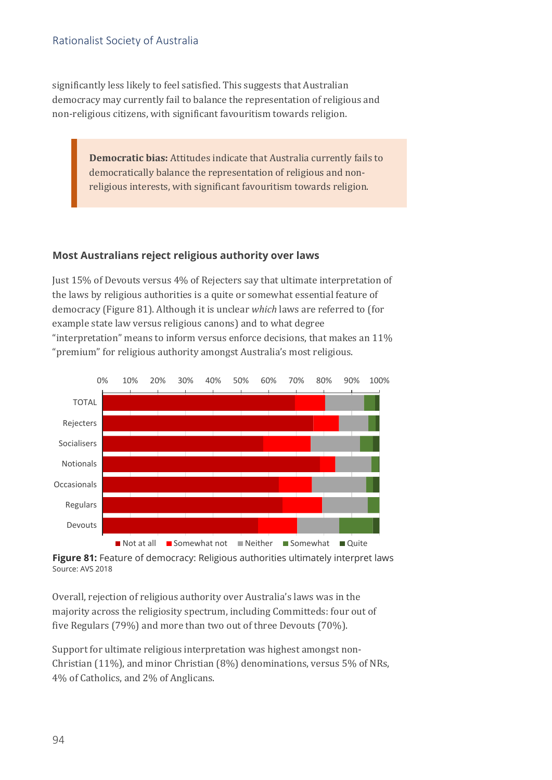significantly less likely to feel satisfied. This suggests that Australian democracy may currently fail to balance the representation of religious and non-religious citizens, with significant favouritism towards religion.

> **Democratic bias:** Attitudes indicate that Australia currently fails to democratically balance the representation of religious and nonreligious interests, with significant favouritism towards religion.

#### **Most Australians reject religious authority over laws**

Just 15% of Devouts versus 4% of Rejecters say that ultimate interpretation of the laws by religious authorities is a quite or somewhat essential feature of democracy (Figure 81). Although it is unclear *which* laws are referred to (for example state law versus religious canons) and to what degree "interpretation" means to inform versus enforce decisions, that makes an 11% "premium" for religious authority amongst Australia's most religious.





Overall, rejection of religious authority over Australia's laws was in the majority across the religiosity spectrum, including Committeds: four out of five Regulars (79%) and more than two out of three Devouts (70%).

Support for ultimate religious interpretation was highest amongst non-Christian (11%), and minor Christian (8%) denominations, versus 5% of NRs, 4% of Catholics, and 2% of Anglicans.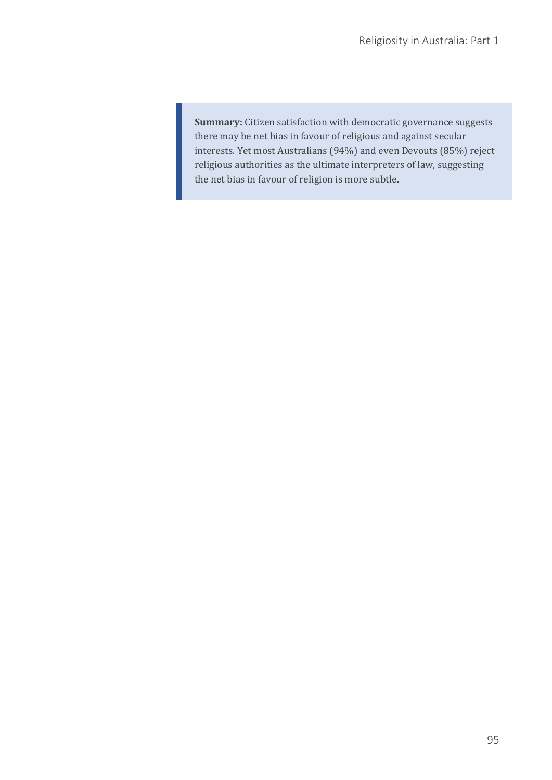**Summary:** Citizen satisfaction with democratic governance suggests there may be net bias in favour of religious and against secular interests. Yet most Australians (94%) and even Devouts (85%) reject religious authorities as the ultimate interpreters of law, suggesting the net bias in favour of religion is more subtle.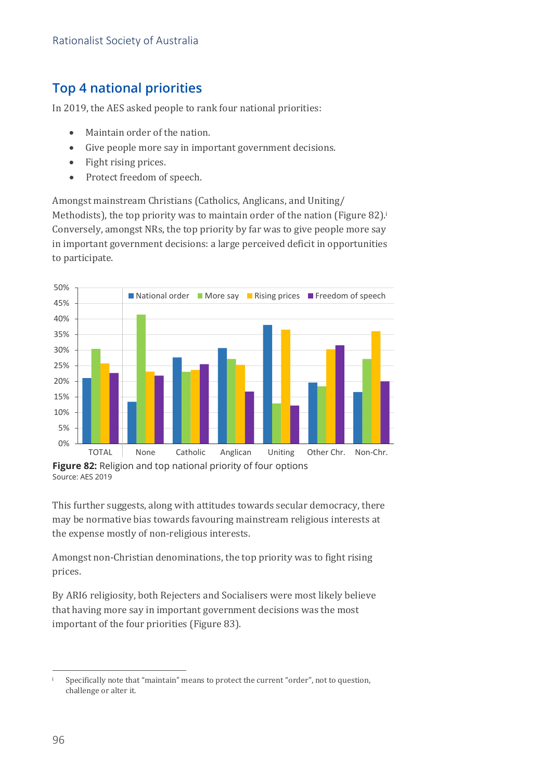# **Top 4 national priorities**

In 2019, the AES asked people to rank four national priorities:

- Maintain order of the nation.
- Give people more say in important government decisions.
- Fight rising prices.
- Protect freedom of speech.

Amongst mainstream Christians (Catholics, Anglicans, and Uniting/ Methodists), the top priority was to maintain order of the nation (Figure 82). i Conversely, amongst NRs, the top priority by far was to give people more say in important government decisions: a large perceived deficit in opportunities to participate.



**Figure 82:** Religion and top national priority of four options Source: AES 2019

This further suggests, along with attitudes towards secular democracy, there may be normative bias towards favouring mainstream religious interests at the expense mostly of non-religious interests.

Amongst non-Christian denominations, the top priority was to fight rising prices.

By ARI6 religiosity, both Rejecters and Socialisers were most likely believe that having more say in important government decisions was the most important of the four priorities (Figure 83).

Specifically note that "maintain" means to protect the current "order", not to question, challenge or alter it.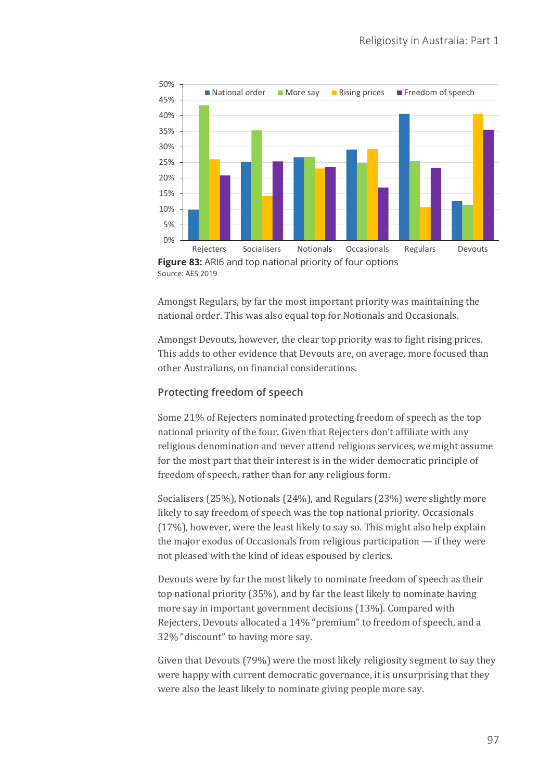

Source: AES 2019

Amongst Regulars, by far the most important priority was maintaining the national order. This was also equal top for Notionals and Occasionals.

Amongst Devouts, however, the clear top priority was to fight rising prices. This adds to other evidence that Devouts are, on average, more focused than other Australians, on financial considerations.

#### **Protecting freedom of speech**

Some 21% of Rejecters nominated protecting freedom of speech as the top national priority of the four. Given that Rejecters don't affiliate with any religious denomination and never attend religious services, we might assume for the most part that their interest is in the wider democratic principle of freedom of speech, rather than for any religious form.

Socialisers (25%), Notionals (24%), and Regulars (23%) were slightly more likely to say freedom of speech was the top national priority. Occasionals (17%), however, were the least likely to say so. This might also help explain the major exodus of Occasionals from religious participation — if they were not pleased with the kind of ideas espoused by clerics.

Devouts were by far the most likely to nominate freedom of speech as their top national priority (35%), and by far the least likely to nominate having more say in important government decisions (13%). Compared with Rejecters, Devouts allocated a 14% "premium" to freedom of speech, and a 32% "discount" to having more say.

Given that Devouts (79%) were the most likely religiosity segment to say they were happy with current democratic governance, it is unsurprising that they were also the least likely to nominate giving people more say.